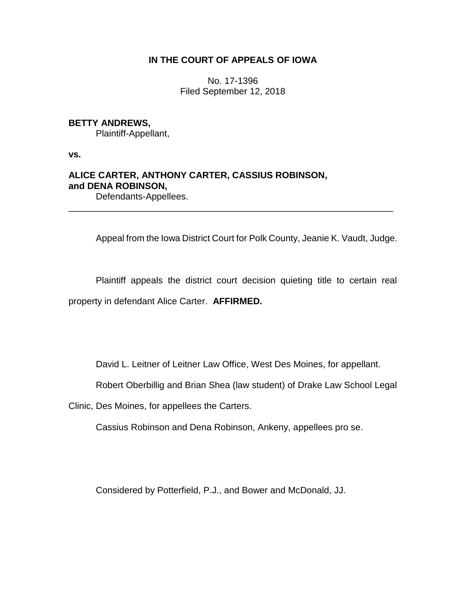## **IN THE COURT OF APPEALS OF IOWA**

No. 17-1396 Filed September 12, 2018

## **BETTY ANDREWS,**

Plaintiff-Appellant,

**vs.**

# **ALICE CARTER, ANTHONY CARTER, CASSIUS ROBINSON, and DENA ROBINSON,**

Defendants-Appellees.

Appeal from the Iowa District Court for Polk County, Jeanie K. Vaudt, Judge.

Plaintiff appeals the district court decision quieting title to certain real property in defendant Alice Carter. **AFFIRMED.**

\_\_\_\_\_\_\_\_\_\_\_\_\_\_\_\_\_\_\_\_\_\_\_\_\_\_\_\_\_\_\_\_\_\_\_\_\_\_\_\_\_\_\_\_\_\_\_\_\_\_\_\_\_\_\_\_\_\_\_\_\_\_\_\_

David L. Leitner of Leitner Law Office, West Des Moines, for appellant.

Robert Oberbillig and Brian Shea (law student) of Drake Law School Legal

Clinic, Des Moines, for appellees the Carters.

Cassius Robinson and Dena Robinson, Ankeny, appellees pro se.

Considered by Potterfield, P.J., and Bower and McDonald, JJ.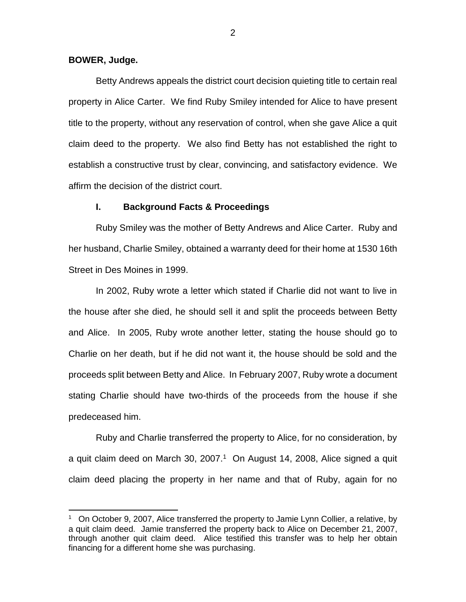#### **BOWER, Judge.**

 $\overline{a}$ 

Betty Andrews appeals the district court decision quieting title to certain real property in Alice Carter. We find Ruby Smiley intended for Alice to have present title to the property, without any reservation of control, when she gave Alice a quit claim deed to the property. We also find Betty has not established the right to establish a constructive trust by clear, convincing, and satisfactory evidence. We affirm the decision of the district court.

#### **I. Background Facts & Proceedings**

Ruby Smiley was the mother of Betty Andrews and Alice Carter. Ruby and her husband, Charlie Smiley, obtained a warranty deed for their home at 1530 16th Street in Des Moines in 1999.

In 2002, Ruby wrote a letter which stated if Charlie did not want to live in the house after she died, he should sell it and split the proceeds between Betty and Alice. In 2005, Ruby wrote another letter, stating the house should go to Charlie on her death, but if he did not want it, the house should be sold and the proceeds split between Betty and Alice. In February 2007, Ruby wrote a document stating Charlie should have two-thirds of the proceeds from the house if she predeceased him.

Ruby and Charlie transferred the property to Alice, for no consideration, by a quit claim deed on March 30, 2007. $1$  On August 14, 2008, Alice signed a quit claim deed placing the property in her name and that of Ruby, again for no

<sup>&</sup>lt;sup>1</sup> On October 9, 2007, Alice transferred the property to Jamie Lynn Collier, a relative, by a quit claim deed. Jamie transferred the property back to Alice on December 21, 2007, through another quit claim deed. Alice testified this transfer was to help her obtain financing for a different home she was purchasing.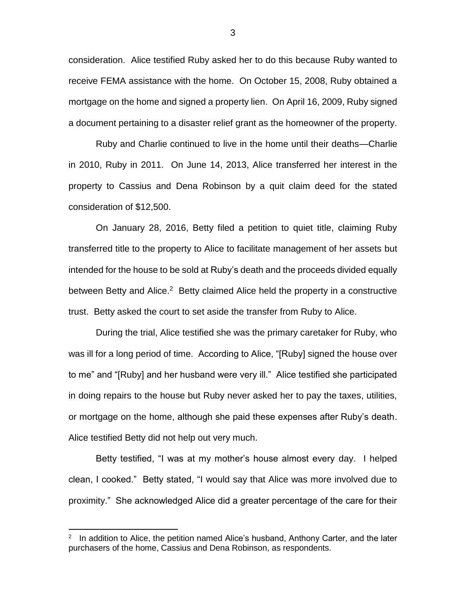consideration. Alice testified Ruby asked her to do this because Ruby wanted to receive FEMA assistance with the home. On October 15, 2008, Ruby obtained a mortgage on the home and signed a property lien. On April 16, 2009, Ruby signed a document pertaining to a disaster relief grant as the homeowner of the property.

Ruby and Charlie continued to live in the home until their deaths—Charlie in 2010, Ruby in 2011. On June 14, 2013, Alice transferred her interest in the property to Cassius and Dena Robinson by a quit claim deed for the stated consideration of \$12,500.

On January 28, 2016, Betty filed a petition to quiet title, claiming Ruby transferred title to the property to Alice to facilitate management of her assets but intended for the house to be sold at Ruby's death and the proceeds divided equally between Betty and Alice.<sup>2</sup> Betty claimed Alice held the property in a constructive trust. Betty asked the court to set aside the transfer from Ruby to Alice.

During the trial, Alice testified she was the primary caretaker for Ruby, who was ill for a long period of time. According to Alice, "[Ruby] signed the house over to me" and "[Ruby] and her husband were very ill." Alice testified she participated in doing repairs to the house but Ruby never asked her to pay the taxes, utilities, or mortgage on the home, although she paid these expenses after Ruby's death. Alice testified Betty did not help out very much.

Betty testified, "I was at my mother's house almost every day. I helped clean, I cooked." Betty stated, "I would say that Alice was more involved due to proximity." She acknowledged Alice did a greater percentage of the care for their

 $\overline{a}$ 

<sup>2</sup> In addition to Alice, the petition named Alice's husband, Anthony Carter, and the later purchasers of the home, Cassius and Dena Robinson, as respondents.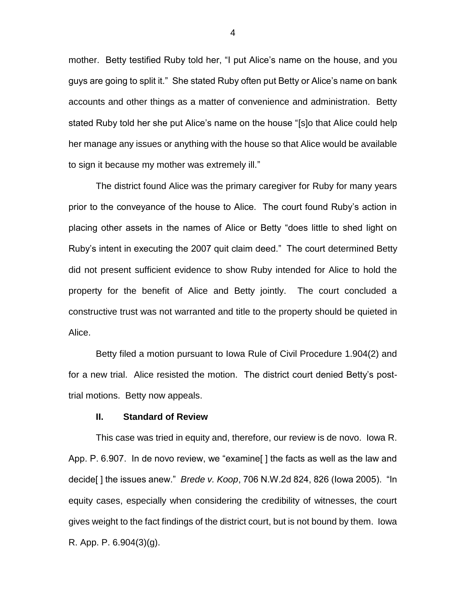mother. Betty testified Ruby told her, "I put Alice's name on the house, and you guys are going to split it." She stated Ruby often put Betty or Alice's name on bank accounts and other things as a matter of convenience and administration. Betty stated Ruby told her she put Alice's name on the house "[s]o that Alice could help her manage any issues or anything with the house so that Alice would be available to sign it because my mother was extremely ill."

The district found Alice was the primary caregiver for Ruby for many years prior to the conveyance of the house to Alice. The court found Ruby's action in placing other assets in the names of Alice or Betty "does little to shed light on Ruby's intent in executing the 2007 quit claim deed." The court determined Betty did not present sufficient evidence to show Ruby intended for Alice to hold the property for the benefit of Alice and Betty jointly. The court concluded a constructive trust was not warranted and title to the property should be quieted in Alice.

Betty filed a motion pursuant to Iowa Rule of Civil Procedure 1.904(2) and for a new trial. Alice resisted the motion. The district court denied Betty's posttrial motions. Betty now appeals.

#### **II. Standard of Review**

This case was tried in equity and, therefore, our review is de novo. Iowa R. App. P. 6.907. In de novo review, we "examine[ ] the facts as well as the law and decide[ ] the issues anew." *Brede v. Koop*, 706 N.W.2d 824, 826 (Iowa 2005). "In equity cases, especially when considering the credibility of witnesses, the court gives weight to the fact findings of the district court, but is not bound by them. Iowa R. App. P. 6.904(3)(g).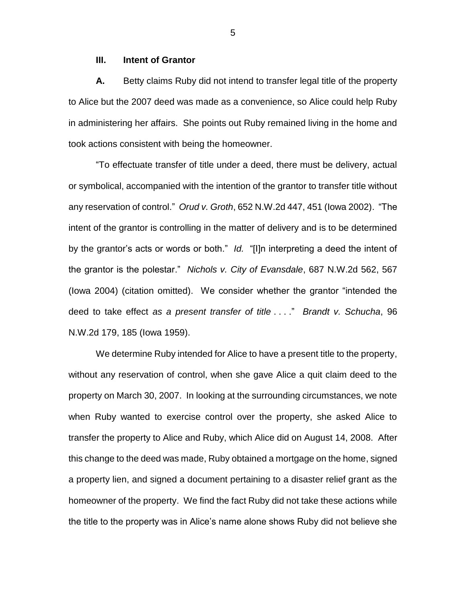#### **III. Intent of Grantor**

**A.** Betty claims Ruby did not intend to transfer legal title of the property to Alice but the 2007 deed was made as a convenience, so Alice could help Ruby in administering her affairs. She points out Ruby remained living in the home and took actions consistent with being the homeowner.

"To effectuate transfer of title under a deed, there must be delivery, actual or symbolical, accompanied with the intention of the grantor to transfer title without any reservation of control." *Orud v. Groth*, 652 N.W.2d 447, 451 (Iowa 2002). "The intent of the grantor is controlling in the matter of delivery and is to be determined by the grantor's acts or words or both." *Id.* "[I]n interpreting a deed the intent of the grantor is the polestar." *Nichols v. City of Evansdale*, 687 N.W.2d 562, 567 (Iowa 2004) (citation omitted). We consider whether the grantor "intended the deed to take effect *as a present transfer of title* . . . ." *Brandt v. Schucha*, 96 N.W.2d 179, 185 (Iowa 1959).

We determine Ruby intended for Alice to have a present title to the property, without any reservation of control, when she gave Alice a quit claim deed to the property on March 30, 2007. In looking at the surrounding circumstances, we note when Ruby wanted to exercise control over the property, she asked Alice to transfer the property to Alice and Ruby, which Alice did on August 14, 2008. After this change to the deed was made, Ruby obtained a mortgage on the home, signed a property lien, and signed a document pertaining to a disaster relief grant as the homeowner of the property. We find the fact Ruby did not take these actions while the title to the property was in Alice's name alone shows Ruby did not believe she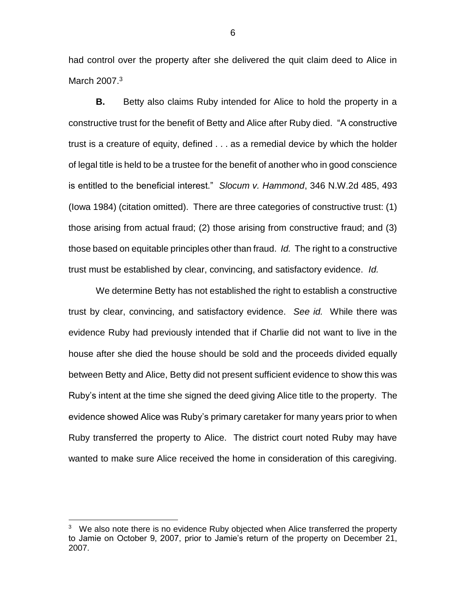had control over the property after she delivered the quit claim deed to Alice in March 2007.<sup>3</sup>

**B.** Betty also claims Ruby intended for Alice to hold the property in a constructive trust for the benefit of Betty and Alice after Ruby died. "A constructive trust is a creature of equity, defined . . . as a remedial device by which the holder of legal title is held to be a trustee for the benefit of another who in good conscience is entitled to the beneficial interest." *Slocum v. Hammond*, 346 N.W.2d 485, 493 (Iowa 1984) (citation omitted). There are three categories of constructive trust: (1) those arising from actual fraud; (2) those arising from constructive fraud; and (3) those based on equitable principles other than fraud. *Id.* The right to a constructive trust must be established by clear, convincing, and satisfactory evidence. *Id.*

We determine Betty has not established the right to establish a constructive trust by clear, convincing, and satisfactory evidence. *See id.* While there was evidence Ruby had previously intended that if Charlie did not want to live in the house after she died the house should be sold and the proceeds divided equally between Betty and Alice, Betty did not present sufficient evidence to show this was Ruby's intent at the time she signed the deed giving Alice title to the property. The evidence showed Alice was Ruby's primary caretaker for many years prior to when Ruby transferred the property to Alice. The district court noted Ruby may have wanted to make sure Alice received the home in consideration of this caregiving.

 $\overline{a}$ 

 $3\;\;\;$  We also note there is no evidence Ruby objected when Alice transferred the property to Jamie on October 9, 2007, prior to Jamie's return of the property on December 21, 2007.